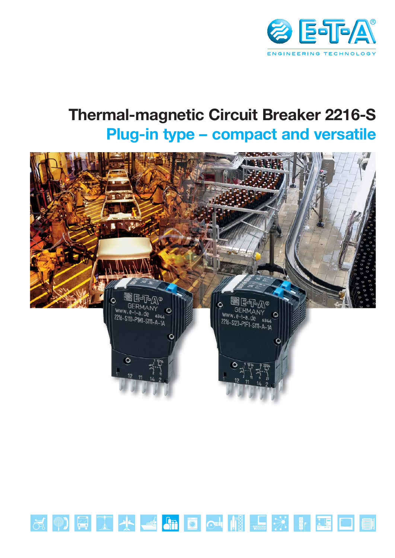

## **Thermal-magnetic Circuit Breaker 2216-S Plug-in type - compact and versatile**